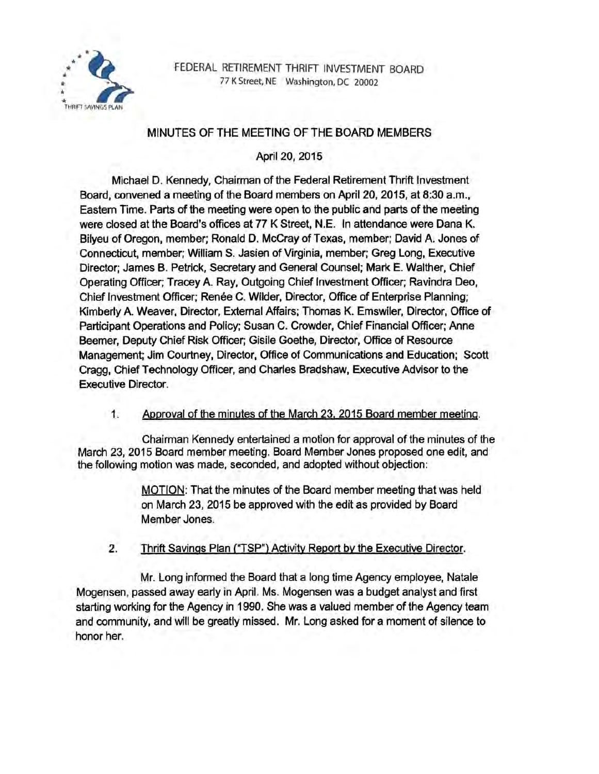

FEDERAL RETIREMENT THRIFT INVESTMENT BOARD 77 K Street, NE Washington, DC 20002

# MINUTES OF THE MEETING OF THE BOARD MEMBERS

April 20, 2015

Michael D. Kennedy, Chairman of the Federal Retirement Thrift Investment Board, convened a meeting of the Board members on April 20, 2015, at 8:30 a.m., Eastern Time. Parts of the meeting were open to the public and parts of the meeting were closed at the Board's offices at 77 K Street, N.E. In attendance were Dana K. Bilyeu of Oregon, member; Ronald D. McCray of Texas, member; David A. Jones of Connecticut, member; William S. Jasien of Virginia, member; Greg Long, Executive Director; James B. Petrick, Secretary and General Counsel; Mark E. Walther, Chief Operating Officer; Tracey A. Ray, Outgoing Chief Investment Officer; Ravindra Deo, Chief Investment Officer; Renée C. Wilder, Director, Office of Enterprise Planning; Kimberly A. Weaver, Director, External Affairs; Thomas K. Emswiler, Director, Office of Participant Operations and Policy; Susan C. Crowder, Chief Financial Officer; Anne Beemer, Deputy Chief Risk Officer; Gisile Goethe, Director, Office of Resource Management; Jim Courtney, Director, Office of Communications and Education; Scott Cragg, Chief Technology Officer, and Charles Bradshaw, Executive Advisor to the Executive Director.

1. Approval of the minutes of the March 23. 2015 Board member meeting.

Chairman Kennedy entertained a motion for approval of the minutes of the March 23, 2015 Board member meeting. Board Member Jones proposed one edit, and the following motion was made, seconded, and adopted without objection:

> MOTION: That the minutes of the Board member meeting that was held on March 23, 2015 be approved with the edit as provided by Board Member Jones.

2. Thrift Savjngs Plan ("TSP") Activity Report by the Executive Director.

Mr. Long informed the Board that a long time Agency employee, Natale Mogensen, passed away early in April. Ms. Mogensen was a budget analyst and first starting working for the Agency in 1990. She was a valued member of the Agency team and community, and will be greatly missed. Mr. Long asked for a moment of silence to honor her.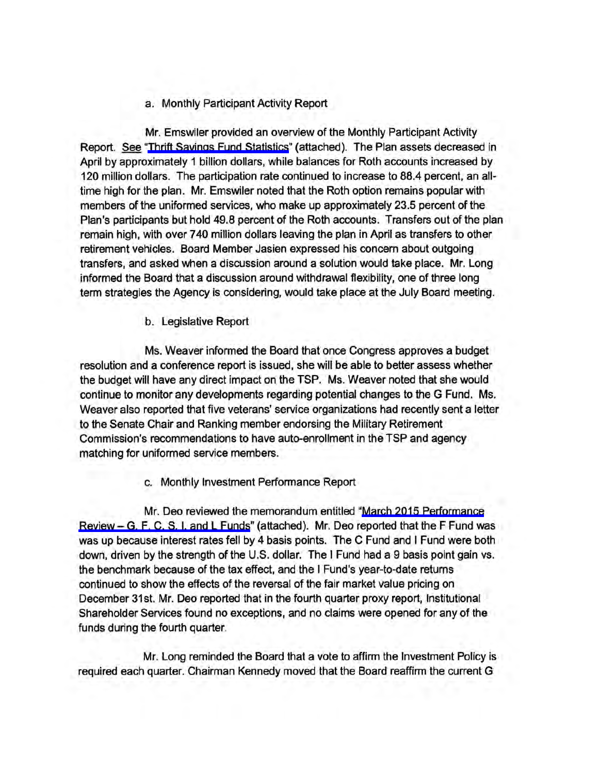### a. Monthly Participant Activity Report

Mr. Emswiler provided an overview of the Monthly Participant Activity Report. See ["Thrift Savings Fund Statistics"](http://www.frtib.gov/pdf/minutes/MM-2015Apr-Att1.pdf) (attached). The Plan assets decreased in April by approximately 1 billion dollars, while balances for Roth accounts increased by 120 million dollars. The participation rate continued to increase to 88.4 percent, an alltime high for the plan. Mr. Emswiler noted that the Roth option remains popular with members of the uniformed services, who make up approximately 23.5 percent of the Plan's participants but hold 49.8 percent of the Roth accounts. Transfers out of the plan remain high, with over 7 40 million dollars leaving the plan in April as transfers to other retirement vehicles. Board Member Jasien expressed his concern about outgoing transfers, and asked when a discussion around a solution would take place. Mr. Long informed the Board that a discussion around withdrawal flexibility, one of three long term strategies the Agency is considering, would take place at the July Board meeting.

b. Legislative Report

Ms. Weaver informed the Board that once Congress approves a budget resolution and a conference report is issued, she will be able to better assess whether the budget will have any direct impact on the TSP. Ms. Weaver noted that she would continue to monitor any developments regarding potential changes to the G Fund. Ms. Weaver also reported that five veterans' service organizations had recently sent a letter to the Senate Chair and Ranking member endorsing the Military Retirement Commission's recommendations to have auto-enrollment in the TSP and agency matching for uniformed service members.

c. Monthly Investment Performance Report

Mr. Deo reviewed the memorandum entitled ["March 2015 Performance](http://www.frtib.gov/pdf/minutes/MM-2015Apr-Att2.pdf) Review- [G, F, C, S, I, and L Funds](http://www.frtib.gov/pdf/minutes/MM-2015Apr-Att2.pdf)" (attached). Mr. Deo reported that the F Fund was was up because interest rates fell by 4 basis points. The C Fund and I Fund were both down, driven by the strength of the U.S. dollar. The I Fund had a 9 basis point gain vs. the benchmark because of the tax effect, and the I Fund's year-to-date returns continued to show the effects of the reversal of the fair market value pricing on December 31st. Mr. Deo reported that in the fourth quarter proxy report, Institutional Shareholder Services found no exceptions, and no claims were opened for any of the funds during the fourth quarter.

Mr. Long reminded the Board that a vote to affirm the Investment Policy is required each quarter. Chairman Kennedy moved that the Board reaffirm the current G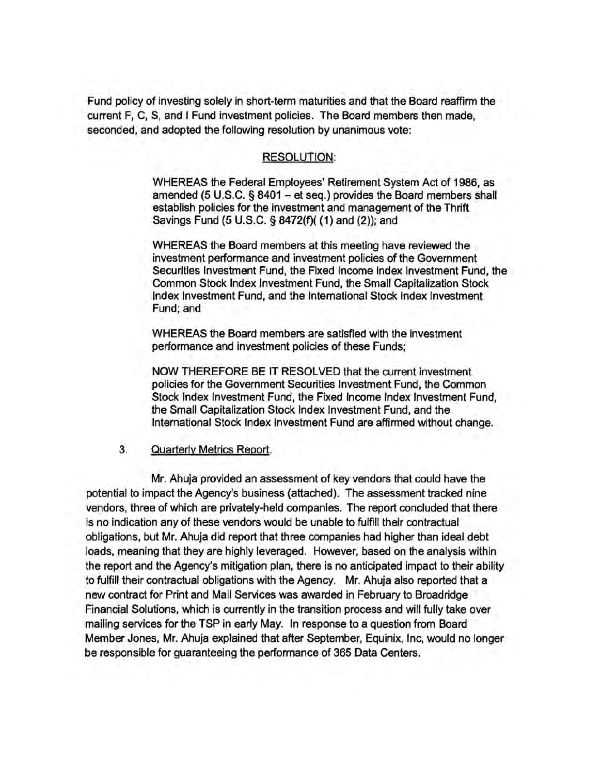Fund policy of investing solely in short-term maturities and that the Board reaffirm the current F, C, S, and I Fund investment policies. The Board members then made, seconded, and adopted the following resolution by unanimous vote:

### RESOLUTION:

WHEREAS the Federal Employees' Retirement System Act of 1986, as amended (5 U.S.C. § 8401 - et seq.) provides the Board members shall establish policies for the investment and management of the Thrift Savings Fund (5 U.S.C. § 8472(f)( (1) and (2)); and

WHEREAS the Board members at this meeting have reviewed the investment performance and investment policies of the Government Securities Investment Fund, the Fixed Income Index Investment Fund, the Common Stock Index Investment Fund, the Small Capitalization Stock Index Investment Fund, and the International Stock Index Investment Fund; and

WHEREAS the Board members are satisfied with the investment performance and investment policies of these Funds;

NOW THEREFORE BE IT RESOLVED that the current investment policies for the Government Securities Investment Fund, the Common Stock Index Investment Fund, the Fixed Income Index Investment Fund, the Small Capitalization Stock Index Investment Fund, and the International Stock Index Investment Fund are affirmed without change.

#### 3. Quarterly Metrics Report.

Mr. Ahuja provided an assessment of key vendors that could have the potential to impact the Agency's business (attached). The assessment tracked nine vendors, three of which are privately-held companies. The report concluded that there is no indication any of these vendors would be unable to fulfill their contractual obligations, but Mr. Ahuja did report that three companies had higher than ideal debt loads, meaning that they are highly leveraged. However, based on the analysis within the report and the Agency's mitigation plan, there is no anticipated impact to their ability to fulfill their contractual obligations with the Agency. Mr. Ahuja also reported that a new contract for Print and Mail Services was awarded in February to Broadridge Financial Solutions, which is currently in the transition process and will fully take over mailing services for the TSP in early May. In response to a question from Board Member Jones, Mr. Ahuja explained that after September, Equinix, Inc, would no longer be responsible for guaranteeing the performance of 365 Data Centers.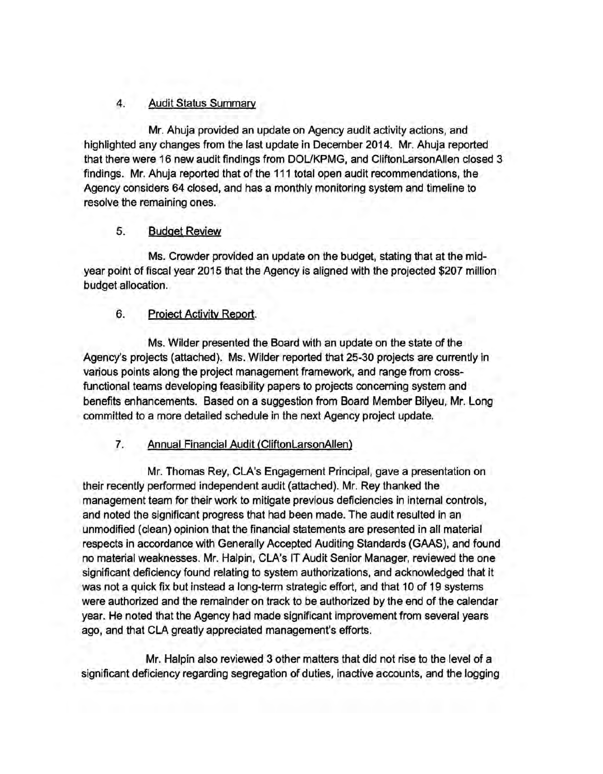## 4. Audit Status Summarv

Mr. Ahuja provided an update on Agency audit activity actions, and highlighted any changes from the last update in December 2014. Mr. Ahuja reported that there were 16 new audit findings from DOUKPMG, and CliftonlarsonAllen closed 3 findings. Mr. Ahuja reported that of the 111 total open audit recommendations, the Agency considers 64 closed, and has a monthly monitoring system and timeline to resolve the remaining ones.

## 5. Budget Review

Ms. Crowder provided an update on the budget, stating that at the midyear point of fiscal year 2015 that the Agency is aligned with the projected \$207 million budget allocation.

# 6. Project Activity Report.

Ms. Wilder presented the Board with an update on the state of the Agency's projects (attached). Ms. Wilder reported that 25-30 projects are currently in various points along the project management framework, and range from crossfunctional teams developing feasibility papers to projects concerning system and benefits enhancements. Based on a suggestion from Board Member Bilyeu, Mr. Long committed to a more detailed schedule in the next Agency project update.

# 7. Annual Financial Audit (CliftonlarsonAllen)

Mr. Thomas Rey, CLA's Engagement Principal, gave a presentation on their recently performed independent audit (attached). Mr. Rey thanked the management team for their work to mitigate previous deficiencies in internal controls, and noted the significant progress that had been made. The audit resulted in an unmodified (clean) opinion that the financial statements are presented in all material respects in accordance with Generally Accepted Auditing Standards (GAAS), and found no material weaknesses. Mr. Halpin, CLA's IT Audit Senior Manager, reviewed the one significant deficiency found relating to system authorizations, and acknowledged that it was not a quick fix but instead a long-term strategic effort, and that 10 of 19 systems were authorized and the remainder on track to be authorized by the end of the calendar year. He noted that the Agency had made significant improvement from several years ago, and that CLA greatly appreciated management's efforts.

Mr. Halpin also reviewed 3 other matters that did not rise to the level of a significant deficiency regarding segregation of duties, inactive accounts, and the logging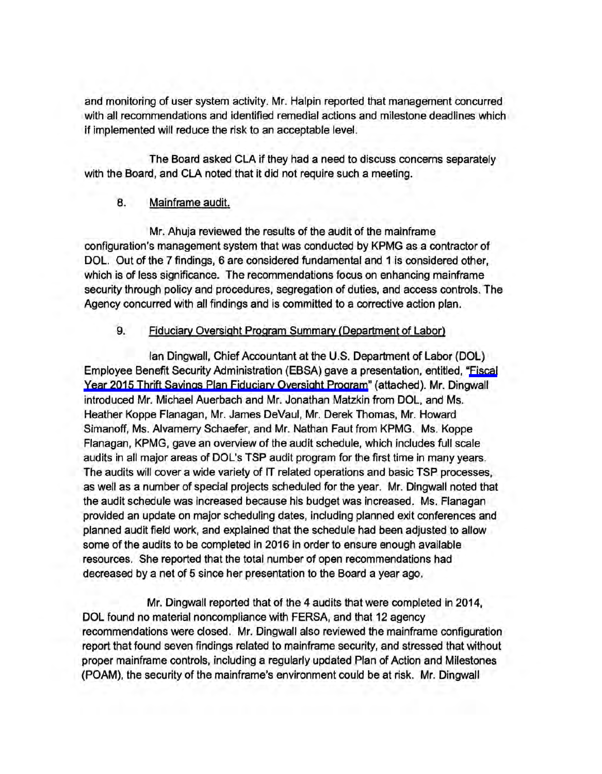and monitoring of user system activity. Mr. Halpin reported that management concurred with all recommendations and identified remedial actions and milestone deadlines which if implemented will reduce the risk to an acceptable level.

The Board asked CLA if they had a need to discuss concerns separately with the Board, and CLA noted that it did not require such a meeting.

## 8. Mainframe audit.

Mr. Ahuja reviewed the results of the audit of the mainframe configuration's management system that was conducted by KPMG as a contractor of DOL. Out of the 7 findings, 6 are considered fundamental and 1 is considered other, which is of less significance. The recommendations focus on enhancing mainframe security through policy and procedures, segregation of duties, and access controls. The Agency concurred with all findings and is committed to a corrective action plan.

### 9. Fiduciary Oversight Program Summary (Department of Labor)

Ian Dingwall, Chief Accountant at the U.S. Department of Labor (DOL) Employee Benefit Security Administration (EBSA) gave a presentation, entitled, ["Fiscal](http://www.frtib.gov/pdf/minutes/MM-2015Apr-Att10.pdf) [Year 2015 Thrift Savings Plan Fiduciary Oversight Program"](http://www.frtib.gov/pdf/minutes/MM-2015Apr-Att10.pdf) (attached). Mr. Dingwall introduced Mr. Michael Auerbach and Mr. Jonathan Matzkin from DOL, and Ms. Heather Koppe Flanagan, Mr. James DeVaul, Mr. Derek Thomas, Mr. Howard Simanoff, Ms. Alvamerry Schaefer, and Mr. Nathan Faut from KPMG. Ms. Koppe Flanagan, KPMG, gave an overview of the audit schedule, which includes full scale audits in all major areas of DOL's TSP audit program for the first time in many years. The audits will cover a wide variety of IT related operations and basic TSP processes, as well as a number of special projects scheduled for the year. Mr. Dingwall noted that the audit schedule was increased because his budget was increased. Ms. Flanagan provided an update on major scheduling dates, including planned exit conferences and planned audit field work, and explained that the schedule had been adjusted to allow some of the audits to be completed in 2016 in order to ensure enough available resources. She reported that the total number of open recommendations had decreased by a net of 5 since her presentation to the Board a year ago.

Mr. Dingwall reported that of the 4 audits that were completed in 2014, DOL found no material noncompliance with FERSA, and that 12 agency recommendations were closed. Mr. Dingwall also reviewed the mainframe configuration report that found seven findings related to mainframe security, and stressed that without proper mainframe controls, including a regularly updated Plan of Action and Milestones (POAM), the security of the mainframe's environment could be at risk. Mr. Dingwall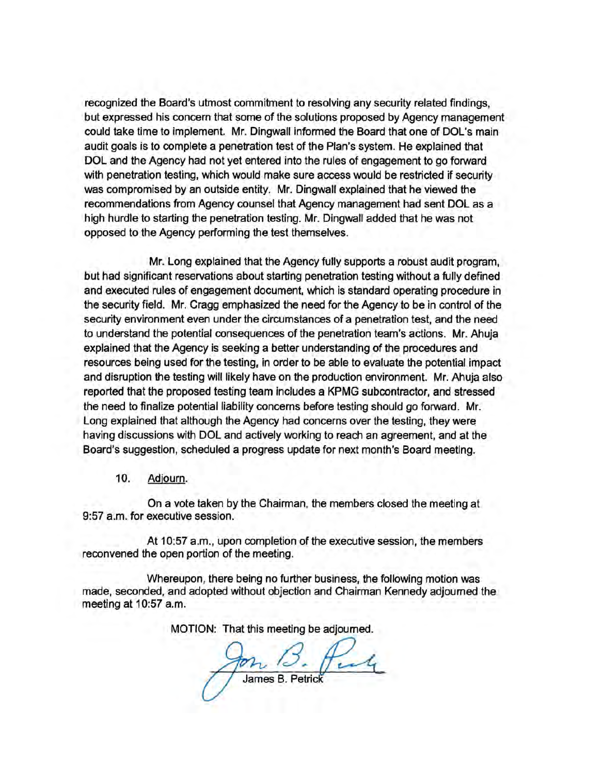recognized the Board's utmost commitment to resolving any security related findings, but expressed his concern that some of the solutions proposed by Agency management could take time to implement. Mr. Dingwall informed the Board that one of DOL's main audit goals is to complete a penetration test of the Plan's system. He explained that DOL and the Agency had not yet entered into the rules of engagement to go forward with penetration testing, which would make sure access would be restricted if security was compromised by an outside entity. Mr. Dingwall explained that he viewed the recommendations from Agency counsel that Agency management had sent DOL as a high hurdle to starting the penetration testing. Mr. Dingwall added that he was not opposed to the Agency performing the test themselves.

Mr. Long explained that the Agency fully supports a robust audit program, but had significant reservations about starting penetration testing without a fully defined and executed rules of engagement document, which is standard operating procedure in the security field. Mr. Cragg emphasized the need for the Agency to be in control of the security environment even under the circumstances of a penetration test, and the need to understand the potential consequences of the penetration team's actions. Mr. Ahuja explained that the Agency is seeking a better understanding of the procedures and resources being used for the testing, in order to be able to evaluate the potential impact and disruption the testing will likely have on the production environment. Mr. Ahuja also reported that the proposed testing team includes a KPMG subcontractor, and stressed the need to finalize potential liability concerns before testing should go forward. Mr. Long explained that although the Agency had concerns over the testing, they were having discussions with DOL and actively working to reach an agreement, and at the Board's suggestion, scheduled a progress update for next month's Board meeting.

10. Adjourn.

On a vote taken by the Chairman, the members closed the meeting at 9:57 a.m. for executive session.

At 10:57 a.m., upon completion of the executive session, the members reconvened the open portion of the meeting.

Whereupon, there being no further business, the following motion was made, seconded, and adopted without objection and Chairman Kennedy adjourned the meeting at 10:57 a.m.

MOTION: That this meeting be adjourned.

James B. Petri